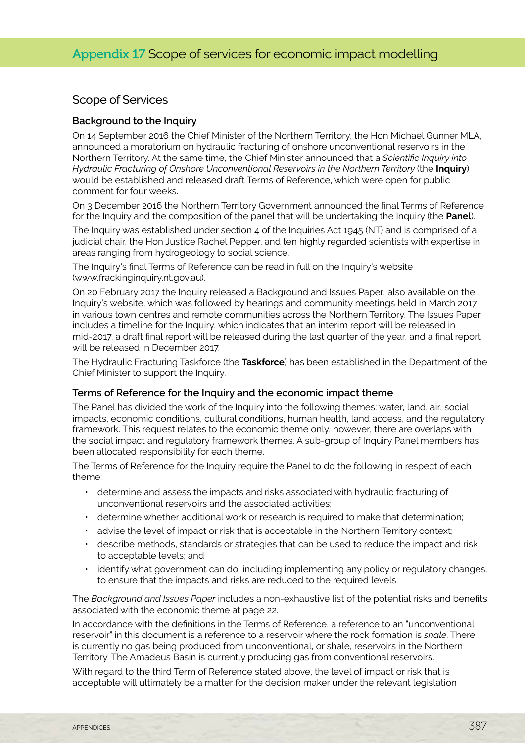# Scope of Services

#### **Background to the Inquiry**

On 14 September 2016 the Chief Minister of the Northern Territory, the Hon Michael Gunner MLA, announced a moratorium on hydraulic fracturing of onshore unconventional reservoirs in the Northern Territory. At the same time, the Chief Minister announced that a *Scientific Inquiry into Hydraulic Fracturing of Onshore Unconventional Reservoirs in the Northern Territory (the Inquiry)* would be established and released draft Terms of Reference, which were open for public comment for four weeks.

On 3 December 2016 the Northern Territory Government announced the final Terms of Reference for the Inquiry and the composition of the panel that will be undertaking the Inquiry (the **Panel**).

The Inquiry was established under section 4 of the Inquiries Act 1945 (NT) and is comprised of a judicial chair, the Hon Justice Rachel Pepper, and ten highly regarded scientists with expertise in areas ranging from hydrogeology to social science.

The Inquiry's final Terms of Reference can be read in full on the Inquiry's website (www.frackinginquiry.nt.gov.au).

On 20 February 2017 the Inquiry released a Background and Issues Paper, also available on the Inquiry's website, which was followed by hearings and community meetings held in March 2017 in various town centres and remote communities across the Northern Territory. The Issues Paper includes a timeline for the Inquiry, which indicates that an interim report will be released in mid-2017, a draft final report will be released during the last quarter of the year, and a final report will be released in December 2017.

The Hydraulic Fracturing Taskforce (the **Taskforce**) has been established in the Department of the Chief Minister to support the Inquiry.

#### **Terms of Reference for the Inquiry and the economic impact theme**

The Panel has divided the work of the Inquiry into the following themes: water, land, air, social impacts, economic conditions, cultural conditions, human health, land access, and the regulatory framework. This request relates to the economic theme only, however, there are overlaps with the social impact and regulatory framework themes. A sub-group of Inquiry Panel members has been allocated responsibility for each theme.

The Terms of Reference for the Inquiry require the Panel to do the following in respect of each theme:

- determine and assess the impacts and risks associated with hydraulic fracturing of unconventional reservoirs and the associated activities;
- determine whether additional work or research is required to make that determination;
- advise the level of impact or risk that is acceptable in the Northern Territory context;
- describe methods, standards or strategies that can be used to reduce the impact and risk to acceptable levels; and
- identify what government can do, including implementing any policy or regulatory changes, to ensure that the impacts and risks are reduced to the required levels.

The *Background and Issues Paper* includes a non-exhaustive list of the potential risks and benefits associated with the economic theme at page 22.

In accordance with the definitions in the Terms of Reference, a reference to an "unconventional reservoir" in this document is a reference to a reservoir where the rock formation is *shale*. There is currently no gas being produced from unconventional, or shale, reservoirs in the Northern Territory. The Amadeus Basin is currently producing gas from conventional reservoirs.

With regard to the third Term of Reference stated above, the level of impact or risk that is acceptable will ultimately be a matter for the decision maker under the relevant legislation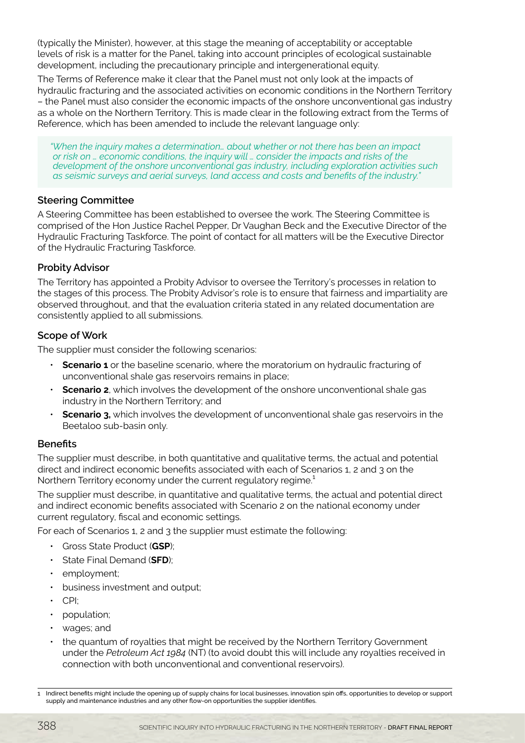(typically the Minister), however, at this stage the meaning of acceptability or acceptable levels of risk is a matter for the Panel, taking into account principles of ecological sustainable development, including the precautionary principle and intergenerational equity.

The Terms of Reference make it clear that the Panel must not only look at the impacts of hydraulic fracturing and the associated activities on economic conditions in the Northern Territory – the Panel must also consider the economic impacts of the onshore unconventional gas industry as a whole on the Northern Territory. This is made clear in the following extract from the Terms of Reference, which has been amended to include the relevant language only:

*"When the inquiry makes a determination… about whether or not there has been an impact or risk on … economic conditions, the inquiry will … consider the impacts and risks of the development of the onshore unconventional gas industry, including exploration activities such as seismic surveys and aerial surveys, land access and costs and benefits of the industry."*

### **Steering Committee**

A Steering Committee has been established to oversee the work. The Steering Committee is comprised of the Hon Justice Rachel Pepper, Dr Vaughan Beck and the Executive Director of the Hydraulic Fracturing Taskforce. The point of contact for all matters will be the Executive Director of the Hydraulic Fracturing Taskforce.

## **Probity Advisor**

The Territory has appointed a Probity Advisor to oversee the Territory's processes in relation to the stages of this process. The Probity Advisor's role is to ensure that fairness and impartiality are observed throughout, and that the evaluation criteria stated in any related documentation are consistently applied to all submissions.

## **Scope of Work**

The supplier must consider the following scenarios:

- **Scenario 1** or the baseline scenario, where the moratorium on hydraulic fracturing of unconventional shale gas reservoirs remains in place;
- **Scenario 2**, which involves the development of the onshore unconventional shale gas industry in the Northern Territory; and
- **Scenario 3,** which involves the development of unconventional shale gas reservoirs in the Beetaloo sub-basin only.

### **Benefits**

The supplier must describe, in both quantitative and qualitative terms, the actual and potential direct and indirect economic benefits associated with each of Scenarios 1, 2 and 3 on the Northern Territory economy under the current regulatory regime.<sup>1</sup>

The supplier must describe, in quantitative and qualitative terms, the actual and potential direct and indirect economic benefits associated with Scenario 2 on the national economy under current regulatory, fiscal and economic settings.

For each of Scenarios 1, 2 and 3 the supplier must estimate the following:

- Gross State Product (**GSP**);
- State Final Demand (**SFD**);
- employment;
- business investment and output;
- CPI;
- population;
- wages; and
- the quantum of royalties that might be received by the Northern Territory Government under the *Petroleum Act 1984* (NT) (to avoid doubt this will include any royalties received in connection with both unconventional and conventional reservoirs).

<sup>1</sup> Indirect benefits might include the opening up of supply chains for local businesses, innovation spin offs, opportunities to develop or support supply and maintenance industries and any other flow-on opportunities the supplier identifies.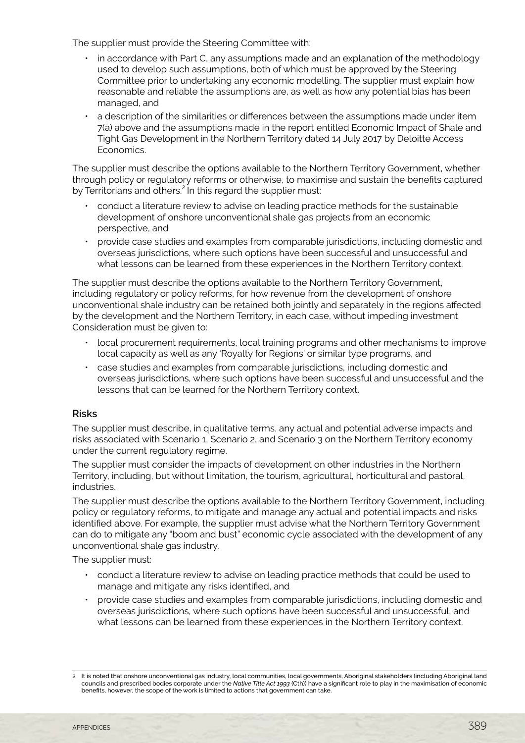The supplier must provide the Steering Committee with:

- in accordance with Part C, any assumptions made and an explanation of the methodology used to develop such assumptions, both of which must be approved by the Steering Committee prior to undertaking any economic modelling. The supplier must explain how reasonable and reliable the assumptions are, as well as how any potential bias has been managed, and
- a description of the similarities or differences between the assumptions made under item 7(a) above and the assumptions made in the report entitled Economic Impact of Shale and Tight Gas Development in the Northern Territory dated 14 July 2017 by Deloitte Access Economics.

The supplier must describe the options available to the Northern Territory Government, whether through policy or regulatory reforms or otherwise, to maximise and sustain the benefits captured by Territorians and others.<sup>2</sup> In this regard the supplier must:

- conduct a literature review to advise on leading practice methods for the sustainable development of onshore unconventional shale gas projects from an economic perspective, and
- provide case studies and examples from comparable jurisdictions, including domestic and overseas jurisdictions, where such options have been successful and unsuccessful and what lessons can be learned from these experiences in the Northern Territory context.

The supplier must describe the options available to the Northern Territory Government, including regulatory or policy reforms, for how revenue from the development of onshore unconventional shale industry can be retained both jointly and separately in the regions affected by the development and the Northern Territory, in each case, without impeding investment. Consideration must be given to:

- local procurement requirements, local training programs and other mechanisms to improve local capacity as well as any 'Royalty for Regions' or similar type programs, and
- case studies and examples from comparable jurisdictions, including domestic and overseas jurisdictions, where such options have been successful and unsuccessful and the lessons that can be learned for the Northern Territory context.

#### **Risks**

The supplier must describe, in qualitative terms, any actual and potential adverse impacts and risks associated with Scenario 1, Scenario 2, and Scenario 3 on the Northern Territory economy under the current regulatory regime.

The supplier must consider the impacts of development on other industries in the Northern Territory, including, but without limitation, the tourism, agricultural, horticultural and pastoral, industries.

The supplier must describe the options available to the Northern Territory Government, including policy or regulatory reforms, to mitigate and manage any actual and potential impacts and risks identified above. For example, the supplier must advise what the Northern Territory Government can do to mitigate any "boom and bust" economic cycle associated with the development of any unconventional shale gas industry.

The supplier must:

- conduct a literature review to advise on leading practice methods that could be used to manage and mitigate any risks identified, and
- provide case studies and examples from comparable jurisdictions, including domestic and overseas jurisdictions, where such options have been successful and unsuccessful, and what lessons can be learned from these experiences in the Northern Territory context.

<sup>2</sup> It is noted that onshore unconventional gas industry, local communities, local governments, Aboriginal stakeholders (including Aboriginal land councils and prescribed bodies corporate under the *Native Title Act 1993* (Cth)) have a significant role to play in the maximisation of economic benefits, however, the scope of the work is limited to actions that government can take.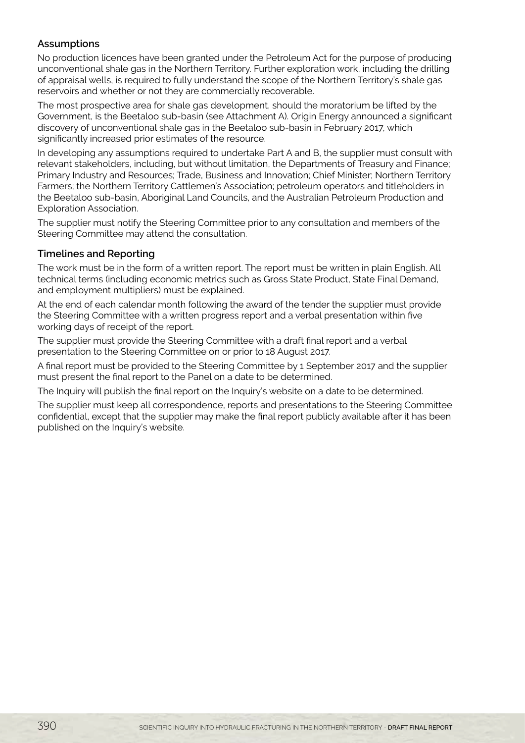# **Assumptions**

No production licences have been granted under the Petroleum Act for the purpose of producing unconventional shale gas in the Northern Territory. Further exploration work, including the drilling of appraisal wells, is required to fully understand the scope of the Northern Territory's shale gas reservoirs and whether or not they are commercially recoverable.

The most prospective area for shale gas development, should the moratorium be lifted by the Government, is the Beetaloo sub-basin (see Attachment A). Origin Energy announced a significant discovery of unconventional shale gas in the Beetaloo sub-basin in February 2017, which significantly increased prior estimates of the resource.

In developing any assumptions required to undertake Part A and B, the supplier must consult with relevant stakeholders, including, but without limitation, the Departments of Treasury and Finance; Primary Industry and Resources; Trade, Business and Innovation; Chief Minister; Northern Territory Farmers; the Northern Territory Cattlemen's Association; petroleum operators and titleholders in the Beetaloo sub-basin, Aboriginal Land Councils, and the Australian Petroleum Production and Exploration Association.

The supplier must notify the Steering Committee prior to any consultation and members of the Steering Committee may attend the consultation.

## **Timelines and Reporting**

The work must be in the form of a written report. The report must be written in plain English. All technical terms (including economic metrics such as Gross State Product, State Final Demand, and employment multipliers) must be explained.

At the end of each calendar month following the award of the tender the supplier must provide the Steering Committee with a written progress report and a verbal presentation within five working days of receipt of the report.

The supplier must provide the Steering Committee with a draft final report and a verbal presentation to the Steering Committee on or prior to 18 August 2017.

A final report must be provided to the Steering Committee by 1 September 2017 and the supplier must present the final report to the Panel on a date to be determined.

The Inquiry will publish the final report on the Inquiry's website on a date to be determined.

The supplier must keep all correspondence, reports and presentations to the Steering Committee confidential, except that the supplier may make the final report publicly available after it has been published on the Inquiry's website.